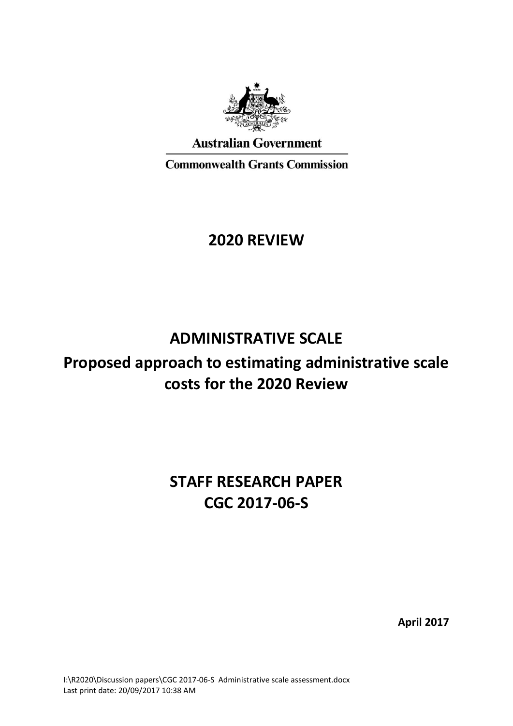

**Australian Government** 

**Commonwealth Grants Commission** 

# **2020 REVIEW**

# **ADMINISTRATIVE SCALE**

# **Proposed approach to estimating administrative scale costs for the 2020 Review**

# **STAFF RESEARCH PAPER CGC 2017-06-S**

**April 2017**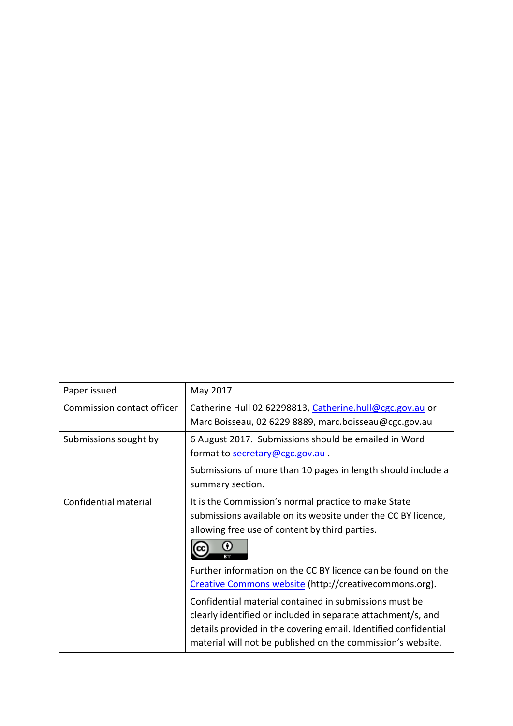| Paper issued               | May 2017                                                                                                                                                                                                                                                 |
|----------------------------|----------------------------------------------------------------------------------------------------------------------------------------------------------------------------------------------------------------------------------------------------------|
| Commission contact officer | Catherine Hull 02 62298813, Catherine.hull@cgc.gov.au or<br>Marc Boisseau, 02 6229 8889, marc.boisseau@cgc.gov.au                                                                                                                                        |
| Submissions sought by      | 6 August 2017. Submissions should be emailed in Word<br>format to secretary@cgc.gov.au.                                                                                                                                                                  |
|                            | Submissions of more than 10 pages in length should include a<br>summary section.                                                                                                                                                                         |
| Confidential material      | It is the Commission's normal practice to make State<br>submissions available on its website under the CC BY licence,<br>allowing free use of content by third parties.                                                                                  |
|                            | Further information on the CC BY licence can be found on the<br>Creative Commons website (http://creativecommons.org).                                                                                                                                   |
|                            | Confidential material contained in submissions must be<br>clearly identified or included in separate attachment/s, and<br>details provided in the covering email. Identified confidential<br>material will not be published on the commission's website. |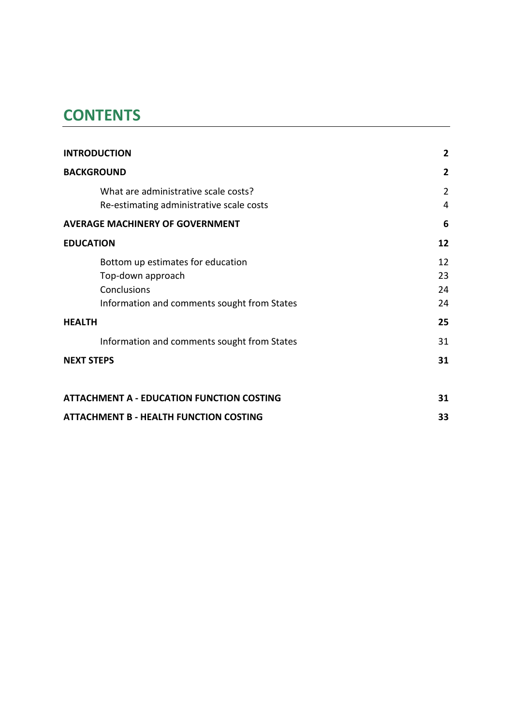# **CONTENTS**

| <b>INTRODUCTION</b>                              | $\overline{2}$ |  |  |  |  |
|--------------------------------------------------|----------------|--|--|--|--|
| <b>BACKGROUND</b>                                | 2              |  |  |  |  |
| What are administrative scale costs?             | $\overline{2}$ |  |  |  |  |
| Re-estimating administrative scale costs         | 4              |  |  |  |  |
| <b>AVERAGE MACHINERY OF GOVERNMENT</b>           | 6              |  |  |  |  |
| <b>EDUCATION</b>                                 | 12             |  |  |  |  |
| Bottom up estimates for education                | 12             |  |  |  |  |
| Top-down approach                                | 23             |  |  |  |  |
| Conclusions                                      | 24             |  |  |  |  |
| Information and comments sought from States      | 24             |  |  |  |  |
| <b>HEALTH</b>                                    | 25             |  |  |  |  |
| Information and comments sought from States      | 31             |  |  |  |  |
| <b>NEXT STEPS</b>                                | 31             |  |  |  |  |
| <b>ATTACHMENT A - EDUCATION FUNCTION COSTING</b> | 31             |  |  |  |  |
| <b>ATTACHMENT B - HEALTH FUNCTION COSTING</b>    |                |  |  |  |  |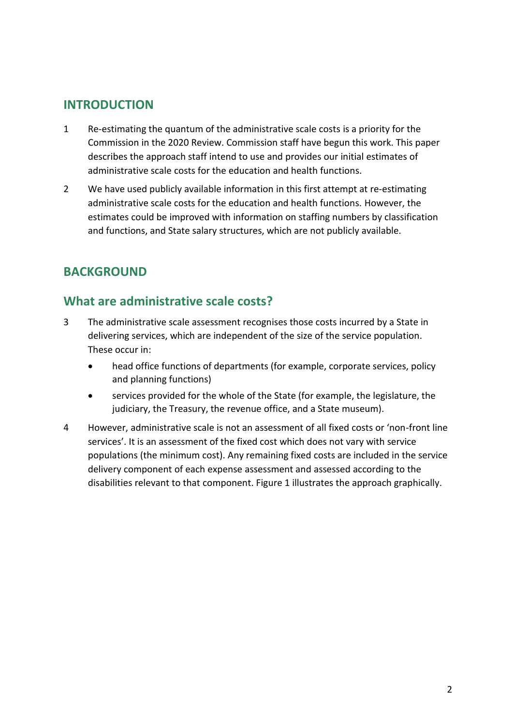## <span id="page-3-0"></span>**INTRODUCTION**

- 1 Re-estimating the quantum of the administrative scale costs is a priority for the Commission in the 2020 Review. Commission staff have begun this work. This paper describes the approach staff intend to use and provides our initial estimates of administrative scale costs for the education and health functions.
- 2 We have used publicly available information in this first attempt at re-estimating administrative scale costs for the education and health functions. However, the estimates could be improved with information on staffing numbers by classification and functions, and State salary structures, which are not publicly available.

# <span id="page-3-1"></span>**BACKGROUND**

# <span id="page-3-2"></span>**What are administrative scale costs?**

- 3 The administrative scale assessment recognises those costs incurred by a State in delivering services, which are independent of the size of the service population. These occur in:
	- head office functions of departments (for example, corporate services, policy and planning functions)
	- services provided for the whole of the State (for example, the legislature, the judiciary, the Treasury, the revenue office, and a State museum).
- 4 However, administrative scale is not an assessment of all fixed costs or 'non-front line services'. It is an assessment of the fixed cost which does not vary with service populations (the minimum cost). Any remaining fixed costs are included in the service delivery component of each expense assessment and assessed according to the disabilities relevant to that component. [Figure 1](#page-4-0) illustrates the approach graphically.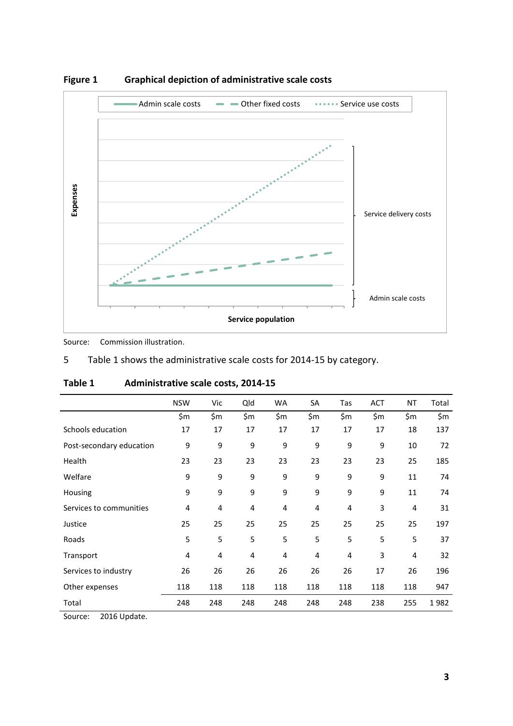

<span id="page-4-0"></span>**Figure 1 Graphical depiction of administrative scale costs**

Source: Commission illustration.

|  | Table 1 shows the administrative scale costs for 2014-15 by category. |  |
|--|-----------------------------------------------------------------------|--|
|--|-----------------------------------------------------------------------|--|

|                          | <b>NSW</b> | Vic | Qld   | WA  | SA  | Tas | <b>ACT</b> | <b>NT</b>      | Total |
|--------------------------|------------|-----|-------|-----|-----|-----|------------|----------------|-------|
|                          | \$m        | \$m | \$m\$ | \$m | \$m | \$m | \$m        | \$m            | \$m   |
| Schools education        | 17         | 17  | 17    | 17  | 17  | 17  | 17         | 18             | 137   |
| Post-secondary education | 9          | 9   | 9     | 9   | 9   | 9   | 9          | 10             | 72    |
| Health                   | 23         | 23  | 23    | 23  | 23  | 23  | 23         | 25             | 185   |
| Welfare                  | 9          | 9   | 9     | 9   | 9   | 9   | 9          | 11             | 74    |
| Housing                  | 9          | 9   | 9     | 9   | 9   | 9   | 9          | 11             | 74    |
| Services to communities  | 4          | 4   | 4     | 4   | 4   | 4   | 3          | $\overline{4}$ | 31    |
| Justice                  | 25         | 25  | 25    | 25  | 25  | 25  | 25         | 25             | 197   |
| Roads                    | 5          | 5   | 5     | 5   | 5   | 5   | 5          | 5              | 37    |
| Transport                | 4          | 4   | 4     | 4   | 4   | 4   | 3          | 4              | 32    |
| Services to industry     | 26         | 26  | 26    | 26  | 26  | 26  | 17         | 26             | 196   |
| Other expenses           | 118        | 118 | 118   | 118 | 118 | 118 | 118        | 118            | 947   |
| Total                    | 248        | 248 | 248   | 248 | 248 | 248 | 238        | 255            | 1982  |

<span id="page-4-1"></span>

| Table 1 | Administrative scale costs, 2014-15 |
|---------|-------------------------------------|
|---------|-------------------------------------|

Source: 2016 Update.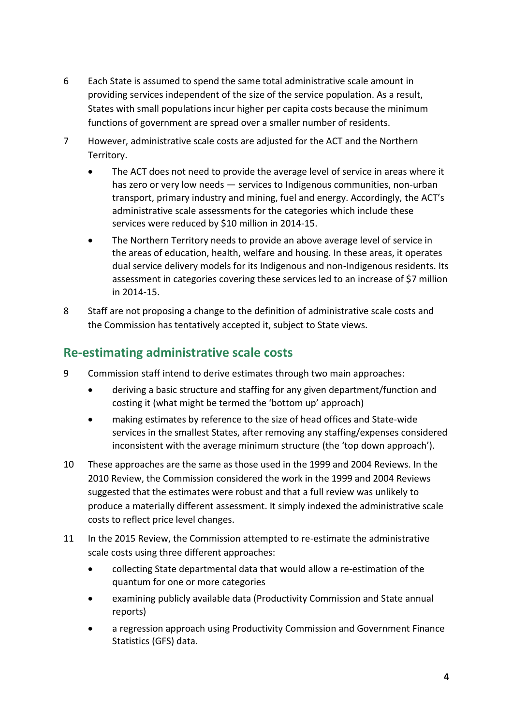- 6 Each State is assumed to spend the same total administrative scale amount in providing services independent of the size of the service population. As a result, States with small populations incur higher per capita costs because the minimum functions of government are spread over a smaller number of residents.
- 7 However, administrative scale costs are adjusted for the ACT and the Northern Territory.
	- The ACT does not need to provide the average level of service in areas where it has zero or very low needs — services to Indigenous communities, non-urban transport, primary industry and mining, fuel and energy. Accordingly, the ACT's administrative scale assessments for the categories which include these services were reduced by \$10 million in 2014-15.
	- The Northern Territory needs to provide an above average level of service in the areas of education, health, welfare and housing. In these areas, it operates dual service delivery models for its Indigenous and non-Indigenous residents. Its assessment in categories covering these services led to an increase of \$7 million in 2014-15.
- 8 Staff are not proposing a change to the definition of administrative scale costs and the Commission has tentatively accepted it, subject to State views.

# <span id="page-5-0"></span>**Re-estimating administrative scale costs**

- 9 Commission staff intend to derive estimates through two main approaches:
	- deriving a basic structure and staffing for any given department/function and costing it (what might be termed the 'bottom up' approach)
	- making estimates by reference to the size of head offices and State-wide services in the smallest States, after removing any staffing/expenses considered inconsistent with the average minimum structure (the 'top down approach').
- 10 These approaches are the same as those used in the 1999 and 2004 Reviews. In the 2010 Review, the Commission considered the work in the 1999 and 2004 Reviews suggested that the estimates were robust and that a full review was unlikely to produce a materially different assessment. It simply indexed the administrative scale costs to reflect price level changes.
- 11 In the 2015 Review, the Commission attempted to re-estimate the administrative scale costs using three different approaches:
	- collecting State departmental data that would allow a re-estimation of the quantum for one or more categories
	- examining publicly available data (Productivity Commission and State annual reports)
	- a regression approach using Productivity Commission and Government Finance Statistics (GFS) data.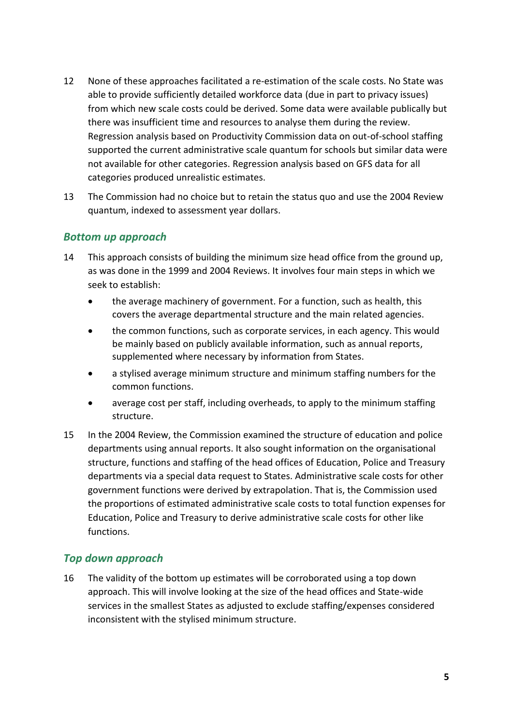- 12 None of these approaches facilitated a re-estimation of the scale costs. No State was able to provide sufficiently detailed workforce data (due in part to privacy issues) from which new scale costs could be derived. Some data were available publically but there was insufficient time and resources to analyse them during the review. Regression analysis based on Productivity Commission data on out-of-school staffing supported the current administrative scale quantum for schools but similar data were not available for other categories. Regression analysis based on GFS data for all categories produced unrealistic estimates.
- 13 The Commission had no choice but to retain the status quo and use the 2004 Review quantum, indexed to assessment year dollars.

### *Bottom up approach*

- 14 This approach consists of building the minimum size head office from the ground up, as was done in the 1999 and 2004 Reviews. It involves four main steps in which we seek to establish:
	- the average machinery of government. For a function, such as health, this covers the average departmental structure and the main related agencies.
	- the common functions, such as corporate services, in each agency. This would be mainly based on publicly available information, such as annual reports, supplemented where necessary by information from States.
	- a stylised average minimum structure and minimum staffing numbers for the common functions.
	- average cost per staff, including overheads, to apply to the minimum staffing structure.
- 15 In the 2004 Review, the Commission examined the structure of education and police departments using annual reports. It also sought information on the organisational structure, functions and staffing of the head offices of Education, Police and Treasury departments via a special data request to States. Administrative scale costs for other government functions were derived by extrapolation. That is, the Commission used the proportions of estimated administrative scale costs to total function expenses for Education, Police and Treasury to derive administrative scale costs for other like functions.

### *Top down approach*

16 The validity of the bottom up estimates will be corroborated using a top down approach. This will involve looking at the size of the head offices and State-wide services in the smallest States as adjusted to exclude staffing/expenses considered inconsistent with the stylised minimum structure.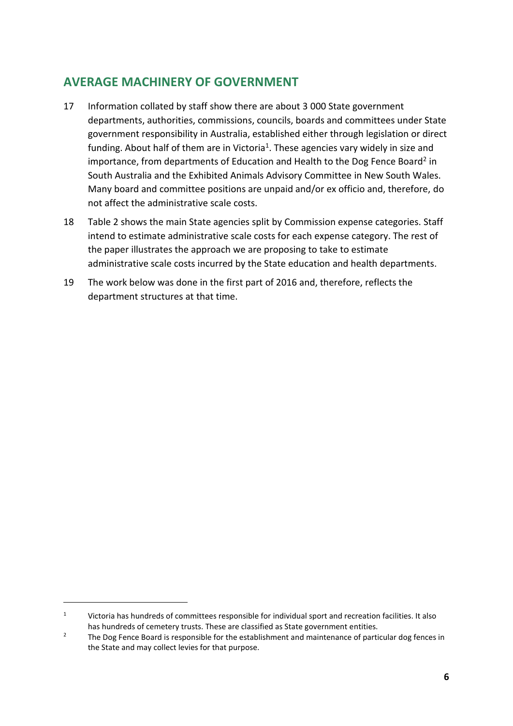# <span id="page-7-0"></span>**AVERAGE MACHINERY OF GOVERNMENT**

- 17 Information collated by staff show there are about 3 000 State government departments, authorities, commissions, councils, boards and committees under State government responsibility in Australia, established either through legislation or direct funding. About half of them are in Victoria<sup>1</sup>. These agencies vary widely in size and importance, from departments of Education and Health to the Dog Fence Board<sup>2</sup> in South Australia and the Exhibited Animals Advisory Committee in New South Wales. Many board and committee positions are unpaid and/or ex officio and, therefore, do not affect the administrative scale costs.
- 18 [Table 2](#page-8-0) shows the main State agencies split by Commission expense categories. Staff intend to estimate administrative scale costs for each expense category. The rest of the paper illustrates the approach we are proposing to take to estimate administrative scale costs incurred by the State education and health departments.
- 19 The work below was done in the first part of 2016 and, therefore, reflects the department structures at that time.

 $\overline{a}$ 

<sup>&</sup>lt;sup>1</sup> Victoria has hundreds of committees responsible for individual sport and recreation facilities. It also has hundreds of cemetery trusts. These are classified as State government entities.

<sup>&</sup>lt;sup>2</sup> The Dog Fence Board is responsible for the establishment and maintenance of particular dog fences in the State and may collect levies for that purpose.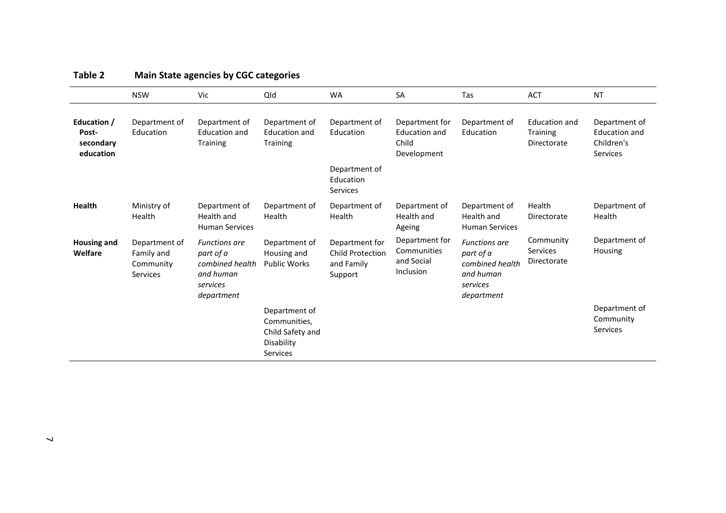<span id="page-8-0"></span>

|                                                | <b>NSW</b>                                                  | Vic                                                                                         | Qld                                                                         | <b>WA</b>                                                          | <b>SA</b>                                                      | Tas                                                                                         | <b>ACT</b>                                             | <b>NT</b>                                                       |
|------------------------------------------------|-------------------------------------------------------------|---------------------------------------------------------------------------------------------|-----------------------------------------------------------------------------|--------------------------------------------------------------------|----------------------------------------------------------------|---------------------------------------------------------------------------------------------|--------------------------------------------------------|-----------------------------------------------------------------|
| Education /<br>Post-<br>secondary<br>education | Department of<br>Education                                  | Department of<br><b>Education and</b><br><b>Training</b>                                    | Department of<br><b>Education and</b><br><b>Training</b>                    | Department of<br>Education                                         | Department for<br><b>Education and</b><br>Child<br>Development | Department of<br>Education                                                                  | <b>Education and</b><br><b>Training</b><br>Directorate | Department of<br><b>Education and</b><br>Children's<br>Services |
|                                                |                                                             |                                                                                             |                                                                             | Department of<br>Education<br><b>Services</b>                      |                                                                |                                                                                             |                                                        |                                                                 |
| <b>Health</b>                                  | Ministry of<br>Health                                       | Department of<br>Health and<br><b>Human Services</b>                                        | Department of<br>Health                                                     | Department of<br>Health                                            | Department of<br>Health and<br>Ageing                          | Department of<br>Health and<br><b>Human Services</b>                                        | Health<br>Directorate                                  | Department of<br>Health                                         |
| <b>Housing and</b><br>Welfare                  | Department of<br>Family and<br>Community<br><b>Services</b> | <b>Functions are</b><br>part of a<br>combined health<br>and human<br>services<br>department | Department of<br>Housing and<br><b>Public Works</b>                         | Department for<br><b>Child Protection</b><br>and Family<br>Support | Department for<br>Communities<br>and Social<br>Inclusion       | <b>Functions are</b><br>part of a<br>combined health<br>and human<br>services<br>department | Community<br>Services<br>Directorate                   | Department of<br>Housing                                        |
|                                                |                                                             |                                                                                             | Department of<br>Communities,<br>Child Safety and<br>Disability<br>Services |                                                                    |                                                                |                                                                                             |                                                        | Department of<br>Community<br><b>Services</b>                   |

### **Table 2 Main State agencies by CGC categories**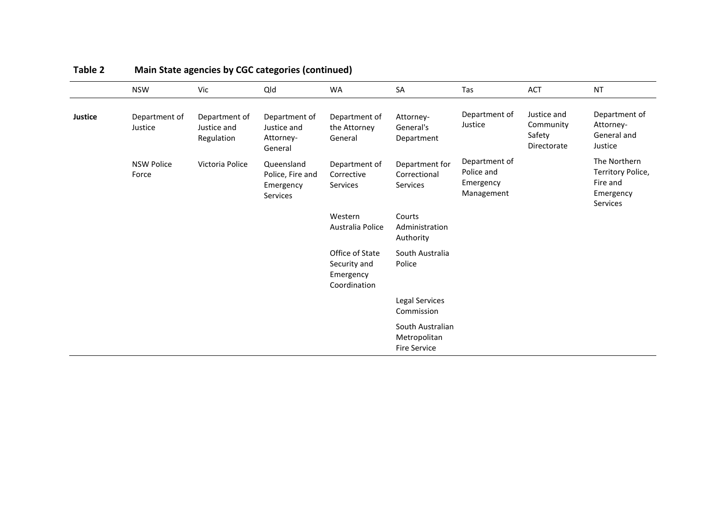|                | <b>NSW</b>                 | Vic                                        | Qld                                                     | <b>WA</b>                                                    | SA                                                      | Tas                                                    | <b>ACT</b>                                        | <b>NT</b>                                                                     |
|----------------|----------------------------|--------------------------------------------|---------------------------------------------------------|--------------------------------------------------------------|---------------------------------------------------------|--------------------------------------------------------|---------------------------------------------------|-------------------------------------------------------------------------------|
| <b>Justice</b> | Department of<br>Justice   | Department of<br>Justice and<br>Regulation | Department of<br>Justice and<br>Attorney-<br>General    | Department of<br>the Attorney<br>General                     | Attorney-<br>General's<br>Department                    | Department of<br>Justice                               | Justice and<br>Community<br>Safety<br>Directorate | Department of<br>Attorney-<br>General and<br>Justice                          |
|                | <b>NSW Police</b><br>Force | Victoria Police                            | Queensland<br>Police, Fire and<br>Emergency<br>Services | Department of<br>Corrective<br>Services                      | Department for<br>Correctional<br>Services              | Department of<br>Police and<br>Emergency<br>Management |                                                   | The Northern<br>Territory Police,<br>Fire and<br>Emergency<br><b>Services</b> |
|                |                            |                                            |                                                         | Western<br>Australia Police                                  | Courts<br>Administration<br>Authority                   |                                                        |                                                   |                                                                               |
|                |                            |                                            |                                                         | Office of State<br>Security and<br>Emergency<br>Coordination | South Australia<br>Police                               |                                                        |                                                   |                                                                               |
|                |                            |                                            |                                                         |                                                              | Legal Services<br>Commission                            |                                                        |                                                   |                                                                               |
|                |                            |                                            |                                                         |                                                              | South Australian<br>Metropolitan<br><b>Fire Service</b> |                                                        |                                                   |                                                                               |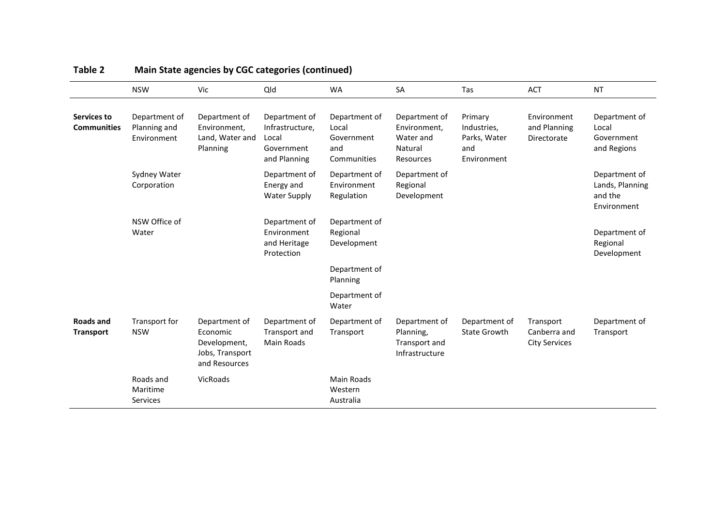|                                   | <b>NSW</b>                                   | Vic                                                                           | Qld                                                                     | <b>WA</b>                                                  | SA                                                                 | Tas                                                          | <b>ACT</b>                                        | <b>NT</b>                                                  |
|-----------------------------------|----------------------------------------------|-------------------------------------------------------------------------------|-------------------------------------------------------------------------|------------------------------------------------------------|--------------------------------------------------------------------|--------------------------------------------------------------|---------------------------------------------------|------------------------------------------------------------|
| Services to<br><b>Communities</b> | Department of<br>Planning and<br>Environment | Department of<br>Environment,<br>Land, Water and<br>Planning                  | Department of<br>Infrastructure,<br>Local<br>Government<br>and Planning | Department of<br>Local<br>Government<br>and<br>Communities | Department of<br>Environment,<br>Water and<br>Natural<br>Resources | Primary<br>Industries,<br>Parks, Water<br>and<br>Environment | Environment<br>and Planning<br>Directorate        | Department of<br>Local<br>Government<br>and Regions        |
|                                   | Sydney Water<br>Corporation                  |                                                                               | Department of<br>Energy and<br><b>Water Supply</b>                      | Department of<br>Environment<br>Regulation                 | Department of<br>Regional<br>Development                           |                                                              |                                                   | Department of<br>Lands, Planning<br>and the<br>Environment |
|                                   | NSW Office of<br>Water                       |                                                                               | Department of<br>Environment<br>and Heritage<br>Protection              | Department of<br>Regional<br>Development                   |                                                                    |                                                              |                                                   | Department of<br>Regional<br>Development                   |
|                                   |                                              |                                                                               |                                                                         | Department of<br>Planning                                  |                                                                    |                                                              |                                                   |                                                            |
|                                   |                                              |                                                                               |                                                                         | Department of<br>Water                                     |                                                                    |                                                              |                                                   |                                                            |
| Roads and<br><b>Transport</b>     | Transport for<br><b>NSW</b>                  | Department of<br>Economic<br>Development,<br>Jobs, Transport<br>and Resources | Department of<br>Transport and<br>Main Roads                            | Department of<br>Transport                                 | Department of<br>Planning,<br>Transport and<br>Infrastructure      | Department of<br><b>State Growth</b>                         | Transport<br>Canberra and<br><b>City Services</b> | Department of<br>Transport                                 |
|                                   | Roads and<br>Maritime<br>Services            | VicRoads                                                                      |                                                                         | Main Roads<br>Western<br>Australia                         |                                                                    |                                                              |                                                   |                                                            |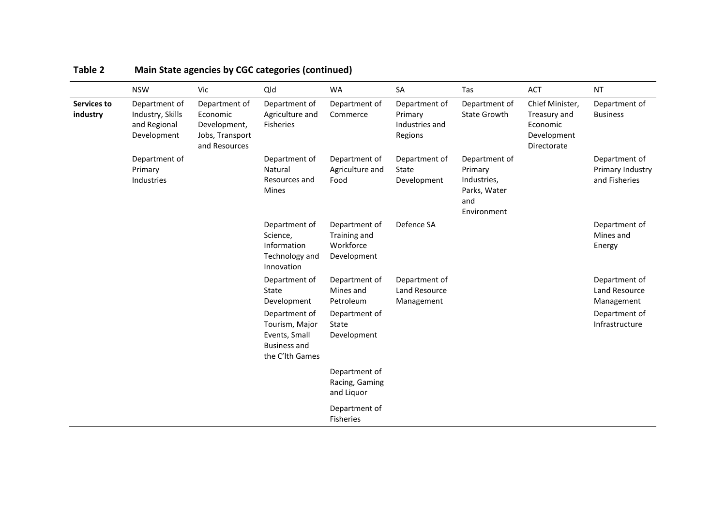|                         | <b>NSW</b>                                                       | Vic                                                                           | Qld                                                                                        | <b>WA</b>                                                 | SA                                                    | Tas                                                                           | <b>ACT</b>                                                                | <b>NT</b>                                          |
|-------------------------|------------------------------------------------------------------|-------------------------------------------------------------------------------|--------------------------------------------------------------------------------------------|-----------------------------------------------------------|-------------------------------------------------------|-------------------------------------------------------------------------------|---------------------------------------------------------------------------|----------------------------------------------------|
| Services to<br>industry | Department of<br>Industry, Skills<br>and Regional<br>Development | Department of<br>Economic<br>Development,<br>Jobs, Transport<br>and Resources | Department of<br>Agriculture and<br>Fisheries                                              | Department of<br>Commerce                                 | Department of<br>Primary<br>Industries and<br>Regions | Department of<br><b>State Growth</b>                                          | Chief Minister,<br>Treasury and<br>Economic<br>Development<br>Directorate | Department of<br><b>Business</b>                   |
|                         | Department of<br>Primary<br>Industries                           |                                                                               | Department of<br>Natural<br>Resources and<br><b>Mines</b>                                  | Department of<br>Agriculture and<br>Food                  | Department of<br>State<br>Development                 | Department of<br>Primary<br>Industries,<br>Parks, Water<br>and<br>Environment |                                                                           | Department of<br>Primary Industry<br>and Fisheries |
|                         |                                                                  |                                                                               | Department of<br>Science,<br>Information<br>Technology and<br>Innovation                   | Department of<br>Training and<br>Workforce<br>Development | Defence SA                                            |                                                                               |                                                                           | Department of<br>Mines and<br>Energy               |
|                         |                                                                  |                                                                               | Department of<br>State<br>Development                                                      | Department of<br>Mines and<br>Petroleum                   | Department of<br>Land Resource<br>Management          |                                                                               |                                                                           | Department of<br>Land Resource<br>Management       |
|                         |                                                                  |                                                                               | Department of<br>Tourism, Major<br>Events, Small<br><b>Business and</b><br>the C'lth Games | Department of<br>State<br>Development                     |                                                       |                                                                               |                                                                           | Department of<br>Infrastructure                    |
|                         |                                                                  |                                                                               |                                                                                            | Department of<br>Racing, Gaming<br>and Liquor             |                                                       |                                                                               |                                                                           |                                                    |
|                         |                                                                  |                                                                               |                                                                                            | Department of<br>Fisheries                                |                                                       |                                                                               |                                                                           |                                                    |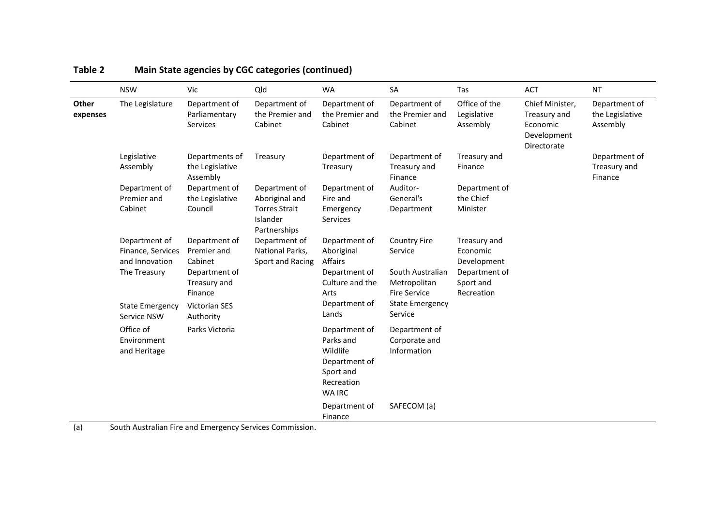|                   | <b>NSW</b>                                                           | Vic                                                                                 | Qld                                                                                 | <b>WA</b>                                                                                           | SA                                                                                        | Tas                                                                                 | ACT                                                                       | <b>NT</b>                                    |
|-------------------|----------------------------------------------------------------------|-------------------------------------------------------------------------------------|-------------------------------------------------------------------------------------|-----------------------------------------------------------------------------------------------------|-------------------------------------------------------------------------------------------|-------------------------------------------------------------------------------------|---------------------------------------------------------------------------|----------------------------------------------|
| Other<br>expenses | The Legislature                                                      | Department of<br>Parliamentary<br>Services                                          | Department of<br>the Premier and<br>Cabinet                                         | Department of<br>the Premier and<br>Cabinet                                                         | Department of<br>the Premier and<br>Cabinet                                               | Office of the<br>Legislative<br>Assembly                                            | Chief Minister,<br>Treasury and<br>Economic<br>Development<br>Directorate | Department of<br>the Legislative<br>Assembly |
|                   | Legislative<br>Assembly                                              | Departments of<br>the Legislative<br>Assembly                                       | Treasury                                                                            | Department of<br>Treasury                                                                           | Department of<br>Treasury and<br>Finance                                                  | Treasury and<br>Finance                                                             |                                                                           | Department of<br>Treasury and<br>Finance     |
|                   | Department of<br>Premier and<br>Cabinet                              | Department of<br>the Legislative<br>Council                                         | Department of<br>Aboriginal and<br><b>Torres Strait</b><br>Islander<br>Partnerships | Department of<br>Fire and<br>Emergency<br>Services                                                  | Auditor-<br>General's<br>Department                                                       | Department of<br>the Chief<br>Minister                                              |                                                                           |                                              |
|                   | Department of<br>Finance, Services<br>and Innovation<br>The Treasury | Department of<br>Premier and<br>Cabinet<br>Department of<br>Treasury and<br>Finance | Department of<br>National Parks,<br>Sport and Racing                                | Department of<br>Aboriginal<br>Affairs<br>Department of<br>Culture and the<br>Arts                  | <b>Country Fire</b><br>Service<br>South Australian<br>Metropolitan<br><b>Fire Service</b> | Treasury and<br>Economic<br>Development<br>Department of<br>Sport and<br>Recreation |                                                                           |                                              |
|                   | <b>State Emergency</b><br>Service NSW                                | Victorian SES<br>Authority                                                          |                                                                                     | Department of<br>Lands                                                                              | <b>State Emergency</b><br>Service                                                         |                                                                                     |                                                                           |                                              |
|                   | Office of<br>Environment<br>and Heritage                             | Parks Victoria                                                                      |                                                                                     | Department of<br>Parks and<br>Wildlife<br>Department of<br>Sport and<br>Recreation<br><b>WA IRC</b> | Department of<br>Corporate and<br>Information                                             |                                                                                     |                                                                           |                                              |
|                   |                                                                      |                                                                                     |                                                                                     | Department of<br>Finance                                                                            | SAFECOM (a)                                                                               |                                                                                     |                                                                           |                                              |

(a) South Australian Fire and Emergency Services Commission.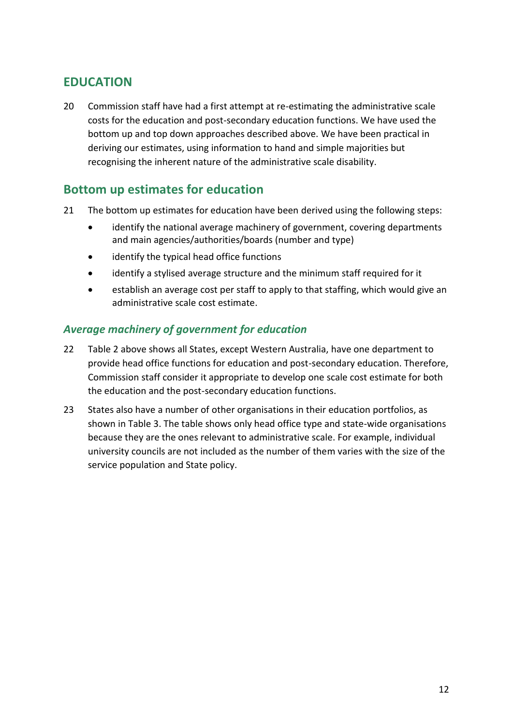# <span id="page-13-0"></span>**EDUCATION**

20 Commission staff have had a first attempt at re-estimating the administrative scale costs for the education and post-secondary education functions. We have used the bottom up and top down approaches described above. We have been practical in deriving our estimates, using information to hand and simple majorities but recognising the inherent nature of the administrative scale disability.

# <span id="page-13-1"></span>**Bottom up estimates for education**

- 21 The bottom up estimates for education have been derived using the following steps:
	- identify the national average machinery of government, covering departments and main agencies/authorities/boards (number and type)
	- identify the typical head office functions
	- identify a stylised average structure and the minimum staff required for it
	- establish an average cost per staff to apply to that staffing, which would give an administrative scale cost estimate.

### *Average machinery of government for education*

- 22 [Table 2](#page-8-0) above shows all States, except Western Australia, have one department to provide head office functions for education and post-secondary education. Therefore, Commission staff consider it appropriate to develop one scale cost estimate for both the education and the post-secondary education functions.
- 23 States also have a number of other organisations in their education portfolios, as shown i[n Table 3.](#page-14-0) The table shows only head office type and state-wide organisations because they are the ones relevant to administrative scale. For example, individual university councils are not included as the number of them varies with the size of the service population and State policy.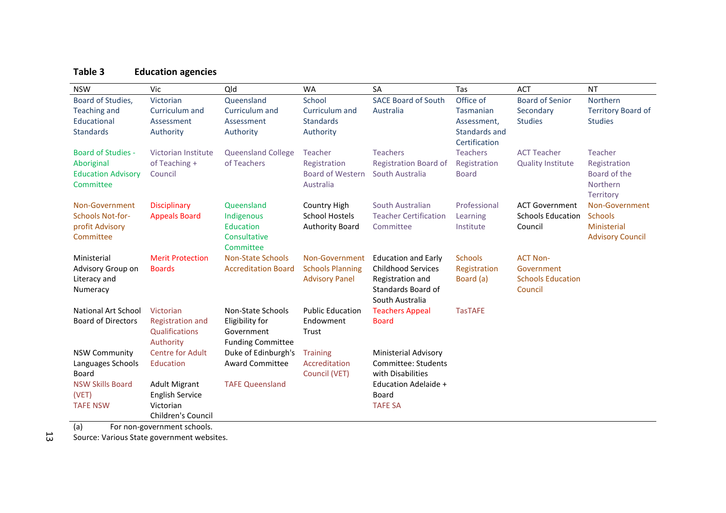## **Table 3 Education agencies**

| <b>NSW</b>                | Vic                       | Old                        | <b>WA</b>               | <b>SA</b>                              | Tas             | <b>ACT</b>                          | <b>NT</b>                 |
|---------------------------|---------------------------|----------------------------|-------------------------|----------------------------------------|-----------------|-------------------------------------|---------------------------|
| Board of Studies,         | Victorian                 | Queensland                 | School                  | <b>SACE Board of South</b>             | Office of       | <b>Board of Senior</b>              | Northern                  |
| Teaching and              | Curriculum and            | Curriculum and             | Curriculum and          | Australia                              | Tasmanian       | Secondary                           | <b>Territory Board of</b> |
| Educational               | Assessment                | Assessment                 | <b>Standards</b>        |                                        | Assessment,     | <b>Studies</b>                      | <b>Studies</b>            |
| <b>Standards</b>          | Authority                 | Authority                  | Authority               |                                        | Standards and   |                                     |                           |
|                           |                           |                            |                         |                                        | Certification   |                                     |                           |
| <b>Board of Studies -</b> | Victorian Institute       | <b>Queensland College</b>  | Teacher                 | <b>Teachers</b>                        | <b>Teachers</b> | <b>ACT Teacher</b>                  | Teacher                   |
| Aboriginal                | of Teaching +             | of Teachers                | Registration            | <b>Registration Board of</b>           | Registration    | <b>Quality Institute</b>            | Registration              |
| <b>Education Advisory</b> | Council                   |                            | <b>Board of Western</b> | South Australia                        | <b>Board</b>    |                                     | Board of the              |
| Committee                 |                           |                            | Australia               |                                        |                 |                                     | Northern                  |
|                           |                           |                            |                         |                                        |                 |                                     | <b>Territory</b>          |
| Non-Government            | <b>Disciplinary</b>       | Queensland                 | Country High            | South Australian                       | Professional    | <b>ACT Government</b>               | Non-Government            |
| <b>Schools Not-for-</b>   | <b>Appeals Board</b>      | Indigenous                 | <b>School Hostels</b>   | <b>Teacher Certification</b>           | Learning        | <b>Schools Education</b>            | <b>Schools</b>            |
| profit Advisory           |                           | Education                  | <b>Authority Board</b>  | Committee                              | Institute       | Council                             | Ministerial               |
| Committee                 |                           | Consultative               |                         |                                        |                 |                                     | <b>Advisory Council</b>   |
|                           |                           | Committee                  |                         |                                        |                 |                                     |                           |
| Ministerial               | <b>Merit Protection</b>   | <b>Non-State Schools</b>   | Non-Government          | <b>Education and Early</b>             | <b>Schools</b>  | <b>ACT Non-</b>                     |                           |
| Advisory Group on         | <b>Boards</b>             | <b>Accreditation Board</b> | <b>Schools Planning</b> | <b>Childhood Services</b>              | Registration    | Government                          |                           |
| Literacy and              |                           |                            | <b>Advisory Panel</b>   | Registration and<br>Standards Board of | Board (a)       | <b>Schools Education</b><br>Council |                           |
| Numeracy                  |                           |                            |                         | South Australia                        |                 |                                     |                           |
| National Art School       | Victorian                 | Non-State Schools          | <b>Public Education</b> | <b>Teachers Appeal</b>                 | <b>TasTAFE</b>  |                                     |                           |
| <b>Board of Directors</b> | <b>Registration and</b>   | Eligibility for            | Endowment               | <b>Board</b>                           |                 |                                     |                           |
|                           | Qualifications            | Government                 | Trust                   |                                        |                 |                                     |                           |
|                           | Authority                 | <b>Funding Committee</b>   |                         |                                        |                 |                                     |                           |
| <b>NSW Community</b>      | <b>Centre for Adult</b>   | Duke of Edinburgh's        | <b>Training</b>         | <b>Ministerial Advisory</b>            |                 |                                     |                           |
| Languages Schools         | Education                 | <b>Award Committee</b>     | Accreditation           | Committee: Students                    |                 |                                     |                           |
| Board                     |                           |                            | Council (VET)           | with Disabilities                      |                 |                                     |                           |
| <b>NSW Skills Board</b>   | <b>Adult Migrant</b>      | <b>TAFE Queensland</b>     |                         | <b>Education Adelaide +</b>            |                 |                                     |                           |
| (VET)                     | <b>English Service</b>    |                            |                         | Board                                  |                 |                                     |                           |
| <b>TAFE NSW</b>           | Victorian                 |                            |                         | <b>TAFE SA</b>                         |                 |                                     |                           |
|                           | <b>Children's Council</b> |                            |                         |                                        |                 |                                     |                           |

<span id="page-14-0"></span>(a) For non-government schools.

Source: Various State government websites.

13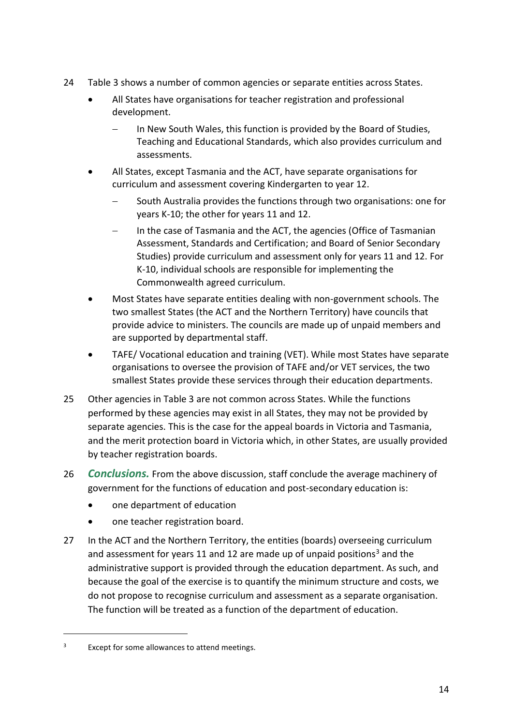- 24 [Table 3](#page-14-0) shows a number of common agencies or separate entities across States.
	- All States have organisations for teacher registration and professional development.
		- In New South Wales, this function is provided by the Board of Studies, Teaching and Educational Standards, which also provides curriculum and assessments.
	- All States, except Tasmania and the ACT, have separate organisations for curriculum and assessment covering Kindergarten to year 12.
		- South Australia provides the functions through two organisations: one for years K-10; the other for years 11 and 12.
		- In the case of Tasmania and the ACT, the agencies (Office of Tasmanian Assessment, Standards and Certification; and Board of Senior Secondary Studies) provide curriculum and assessment only for years 11 and 12. For K-10, individual schools are responsible for implementing the Commonwealth agreed curriculum.
	- Most States have separate entities dealing with non-government schools. The two smallest States (the ACT and the Northern Territory) have councils that provide advice to ministers. The councils are made up of unpaid members and are supported by departmental staff.
	- TAFE/ Vocational education and training (VET). While most States have separate organisations to oversee the provision of TAFE and/or VET services, the two smallest States provide these services through their education departments.
- 25 Other agencies in [Table 3](#page-14-0) are not common across States. While the functions performed by these agencies may exist in all States, they may not be provided by separate agencies. This is the case for the appeal boards in Victoria and Tasmania, and the merit protection board in Victoria which, in other States, are usually provided by teacher registration boards.
- 26 *Conclusions.* From the above discussion, staff conclude the average machinery of government for the functions of education and post-secondary education is:
	- one department of education
	- one teacher registration board.
- 27 In the ACT and the Northern Territory, the entities (boards) overseeing curriculum and assessment for years 11 and 12 are made up of unpaid positions<sup>3</sup> and the administrative support is provided through the education department. As such, and because the goal of the exercise is to quantify the minimum structure and costs, we do not propose to recognise curriculum and assessment as a separate organisation. The function will be treated as a function of the department of education.

 $\overline{a}$ 

<sup>3</sup> Except for some allowances to attend meetings.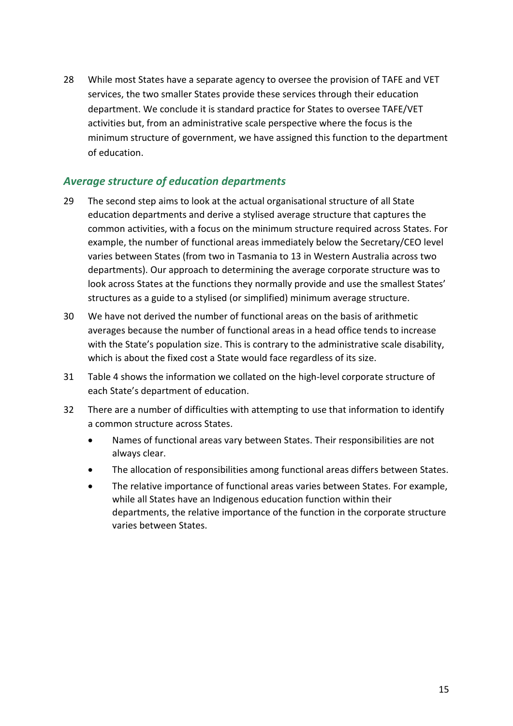28 While most States have a separate agency to oversee the provision of TAFE and VET services, the two smaller States provide these services through their education department. We conclude it is standard practice for States to oversee TAFE/VET activities but, from an administrative scale perspective where the focus is the minimum structure of government, we have assigned this function to the department of education.

### *Average structure of education departments*

- 29 The second step aims to look at the actual organisational structure of all State education departments and derive a stylised average structure that captures the common activities, with a focus on the minimum structure required across States. For example, the number of functional areas immediately below the Secretary/CEO level varies between States (from two in Tasmania to 13 in Western Australia across two departments). Our approach to determining the average corporate structure was to look across States at the functions they normally provide and use the smallest States' structures as a guide to a stylised (or simplified) minimum average structure.
- 30 We have not derived the number of functional areas on the basis of arithmetic averages because the number of functional areas in a head office tends to increase with the State's population size. This is contrary to the administrative scale disability, which is about the fixed cost a State would face regardless of its size.
- 31 [Table 4](#page-17-0) shows the information we collated on the high-level corporate structure of each State's department of education.
- 32 There are a number of difficulties with attempting to use that information to identify a common structure across States.
	- Names of functional areas vary between States. Their responsibilities are not always clear.
	- The allocation of responsibilities among functional areas differs between States.
	- The relative importance of functional areas varies between States. For example, while all States have an Indigenous education function within their departments, the relative importance of the function in the corporate structure varies between States.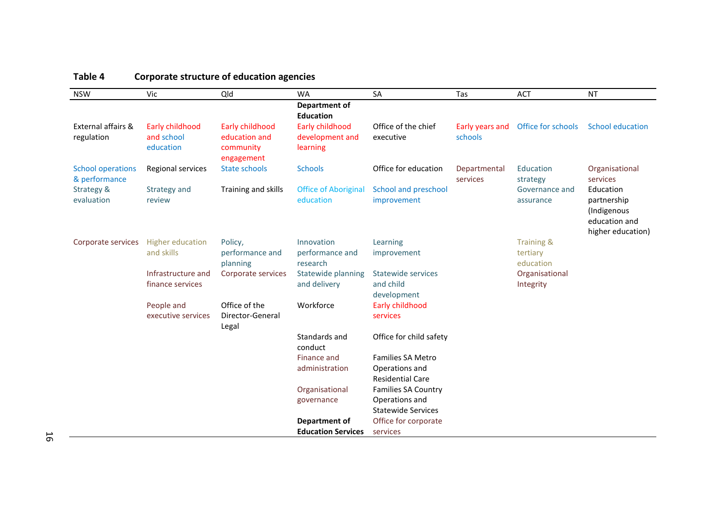<span id="page-17-0"></span>

| <b>NSW</b>                                | Vic                     | Qld                                      | <b>WA</b>                                | SA                                          | Tas                      | <b>ACT</b>                  | <b>NT</b>                                                                     |
|-------------------------------------------|-------------------------|------------------------------------------|------------------------------------------|---------------------------------------------|--------------------------|-----------------------------|-------------------------------------------------------------------------------|
|                                           |                         |                                          | <b>Department of</b><br><b>Education</b> |                                             |                          |                             |                                                                               |
| External affairs &                        | Early childhood         | Early childhood                          | Early childhood                          | Office of the chief                         | Early years and          | Office for schools          | <b>School education</b>                                                       |
| regulation                                | and school<br>education | education and<br>community<br>engagement | development and<br>learning              | executive                                   | schools                  |                             |                                                                               |
| <b>School operations</b><br>& performance | Regional services       | <b>State schools</b>                     | <b>Schools</b>                           | Office for education                        | Departmental<br>services | Education<br>strategy       | Organisational<br>services                                                    |
| Strategy &<br>evaluation                  | Strategy and<br>review  | Training and skills                      | <b>Office of Aboriginal</b><br>education | School and preschool<br>improvement         |                          | Governance and<br>assurance | Education<br>partnership<br>(Indigenous<br>education and<br>higher education) |
| Corporate services                        | <b>Higher education</b> | Policy,                                  | Innovation                               | Learning                                    |                          | <b>Training &amp;</b>       |                                                                               |
|                                           | and skills              | performance and<br>planning              | performance and<br>research              | improvement                                 |                          | tertiary<br>education       |                                                                               |
|                                           | Infrastructure and      | Corporate services                       | Statewide planning                       | <b>Statewide services</b>                   |                          | Organisational              |                                                                               |
|                                           | finance services        |                                          | and delivery                             | and child<br>development                    |                          | Integrity                   |                                                                               |
|                                           | People and              | Office of the                            | Workforce                                | Early childhood                             |                          |                             |                                                                               |
|                                           | executive services      | Director-General<br>Legal                |                                          | services                                    |                          |                             |                                                                               |
|                                           |                         |                                          | Standards and<br>conduct                 | Office for child safety                     |                          |                             |                                                                               |
|                                           |                         |                                          | Finance and                              | <b>Families SA Metro</b>                    |                          |                             |                                                                               |
|                                           |                         |                                          | administration                           | Operations and                              |                          |                             |                                                                               |
|                                           |                         |                                          |                                          | <b>Residential Care</b>                     |                          |                             |                                                                               |
|                                           |                         |                                          | Organisational                           | <b>Families SA Country</b>                  |                          |                             |                                                                               |
|                                           |                         |                                          | governance                               | Operations and<br><b>Statewide Services</b> |                          |                             |                                                                               |
|                                           |                         |                                          | Department of                            | Office for corporate                        |                          |                             |                                                                               |
|                                           |                         |                                          | <b>Education Services</b>                | services                                    |                          |                             |                                                                               |

### **Table 4 Corporate structure of education agencies**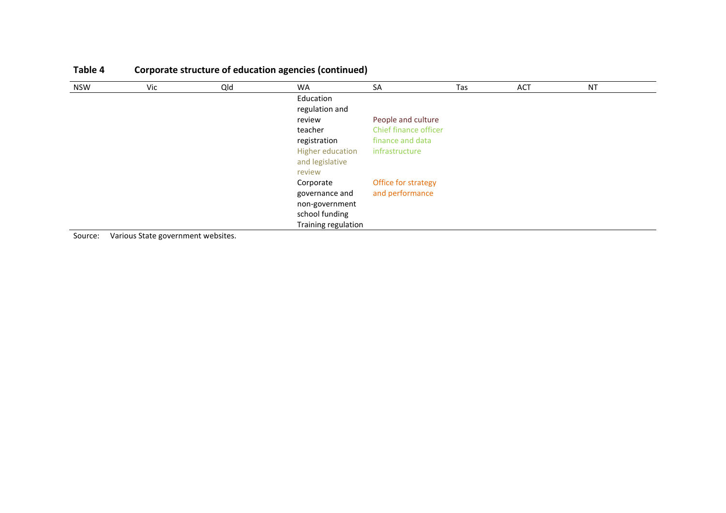| NSW | Vic | Qld | <b>WA</b>               | SA                    | Tas | <b>ACT</b> | <b>NT</b> |  |
|-----|-----|-----|-------------------------|-----------------------|-----|------------|-----------|--|
|     |     |     | Education               |                       |     |            |           |  |
|     |     |     | regulation and          |                       |     |            |           |  |
|     |     |     | review                  | People and culture    |     |            |           |  |
|     |     |     | teacher                 | Chief finance officer |     |            |           |  |
|     |     |     | registration            | finance and data      |     |            |           |  |
|     |     |     | <b>Higher education</b> | infrastructure        |     |            |           |  |
|     |     |     | and legislative         |                       |     |            |           |  |
|     |     |     | review                  |                       |     |            |           |  |
|     |     |     | Corporate               | Office for strategy   |     |            |           |  |
|     |     |     | governance and          | and performance       |     |            |           |  |
|     |     |     | non-government          |                       |     |            |           |  |
|     |     |     | school funding          |                       |     |            |           |  |
|     |     |     | Training regulation     |                       |     |            |           |  |

# **Table 4 Corporate structure of education agencies (continued)**

Source: Various State government websites.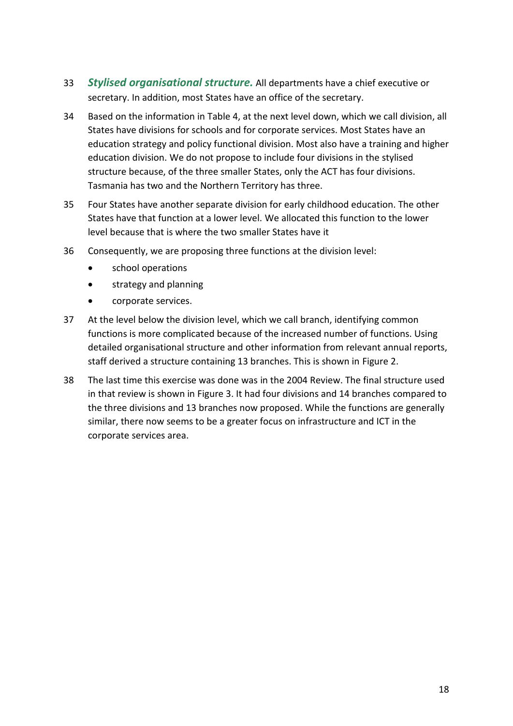- 33 *Stylised organisational structure.* All departments have a chief executive or secretary. In addition, most States have an office of the secretary.
- 34 Based on the information in [Table 4,](#page-17-0) at the next level down, which we call division, all States have divisions for schools and for corporate services. Most States have an education strategy and policy functional division. Most also have a training and higher education division. We do not propose to include four divisions in the stylised structure because, of the three smaller States, only the ACT has four divisions. Tasmania has two and the Northern Territory has three.
- 35 Four States have another separate division for early childhood education. The other States have that function at a lower level. We allocated this function to the lower level because that is where the two smaller States have it
- 36 Consequently, we are proposing three functions at the division level:
	- school operations
	- **•** strategy and planning
	- corporate services.
- 37 At the level below the division level, which we call branch, identifying common functions is more complicated because of the increased number of functions. Using detailed organisational structure and other information from relevant annual reports, staff derived a structure containing 13 branches. This is shown in [Figure 2.](#page-20-0)
- 38 The last time this exercise was done was in the 2004 Review. The final structure used in that review is shown in [Figure 3.](#page-21-0) It had four divisions and 14 branches compared to the three divisions and 13 branches now proposed. While the functions are generally similar, there now seems to be a greater focus on infrastructure and ICT in the corporate services area.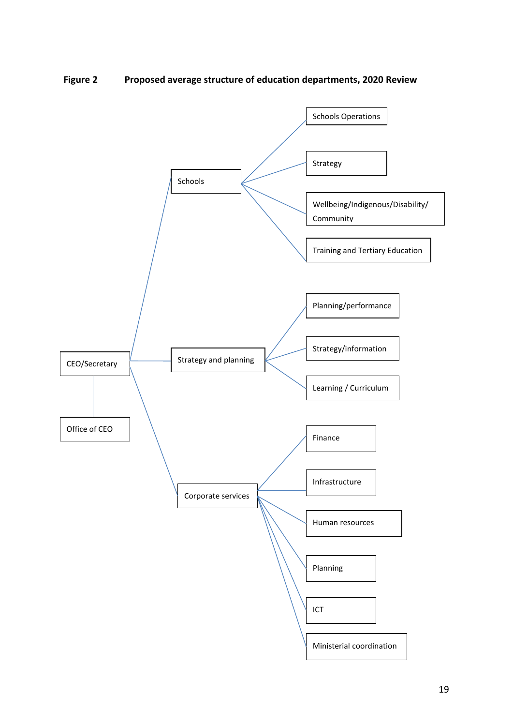<span id="page-20-0"></span>**Figure 2 Proposed average structure of education departments, 2020 Review**

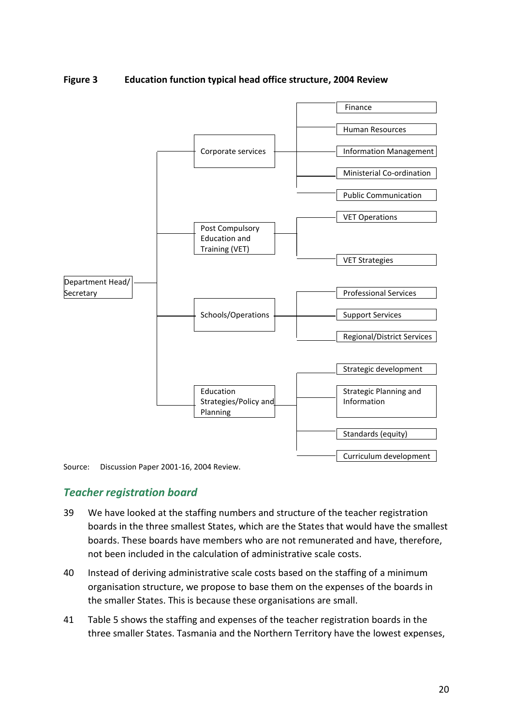<span id="page-21-0"></span>**Figure 3 Education function typical head office structure, 2004 Review**



Source: Discussion Paper 2001-16, 2004 Review.

### *Teacher registration board*

- 39 We have looked at the staffing numbers and structure of the teacher registration boards in the three smallest States, which are the States that would have the smallest boards. These boards have members who are not remunerated and have, therefore, not been included in the calculation of administrative scale costs.
- 40 Instead of deriving administrative scale costs based on the staffing of a minimum organisation structure, we propose to base them on the expenses of the boards in the smaller States. This is because these organisations are small.
- 41 [Table 5](#page-22-0) shows the staffing and expenses of the teacher registration boards in the three smaller States. Tasmania and the Northern Territory have the lowest expenses,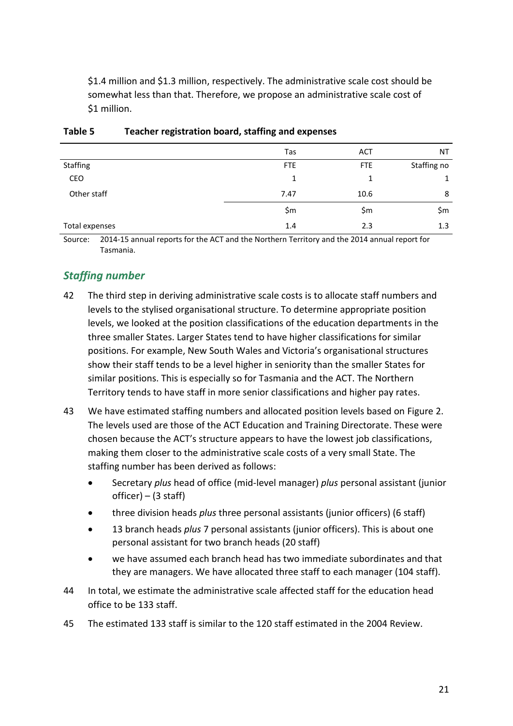\$1.4 million and \$1.3 million, respectively. The administrative scale cost should be somewhat less than that. Therefore, we propose an administrative scale cost of \$1 million.

|                 | Tas        | <b>ACT</b> | NT          |
|-----------------|------------|------------|-------------|
| <b>Staffing</b> | <b>FTE</b> | <b>FTE</b> | Staffing no |
| CEO             | 1          | 1          | 1           |
| Other staff     | 7.47       | 10.6       | 8           |
|                 | \$m        | \$m        | \$m         |
| Total expenses  | 1.4        | 2.3        | 1.3         |

#### <span id="page-22-0"></span>**Table 5 Teacher registration board, staffing and expenses**

Source: 2014-15 annual reports for the ACT and the Northern Territory and the 2014 annual report for Tasmania.

## *Staffing number*

- 42 The third step in deriving administrative scale costs is to allocate staff numbers and levels to the stylised organisational structure. To determine appropriate position levels, we looked at the position classifications of the education departments in the three smaller States. Larger States tend to have higher classifications for similar positions. For example, New South Wales and Victoria's organisational structures show their staff tends to be a level higher in seniority than the smaller States for similar positions. This is especially so for Tasmania and the ACT. The Northern Territory tends to have staff in more senior classifications and higher pay rates.
- 43 We have estimated staffing numbers and allocated position levels based on [Figure 2.](#page-20-0) The levels used are those of the ACT Education and Training Directorate. These were chosen because the ACT's structure appears to have the lowest job classifications, making them closer to the administrative scale costs of a very small State. The staffing number has been derived as follows:
	- Secretary *plus* head of office (mid-level manager) *plus* personal assistant (junior officer) – (3 staff)
	- three division heads *plus* three personal assistants (junior officers) (6 staff)
	- 13 branch heads *plus* 7 personal assistants (junior officers). This is about one personal assistant for two branch heads (20 staff)
	- we have assumed each branch head has two immediate subordinates and that they are managers. We have allocated three staff to each manager (104 staff).
- 44 In total, we estimate the administrative scale affected staff for the education head office to be 133 staff.
- 45 The estimated 133 staff is similar to the 120 staff estimated in the 2004 Review.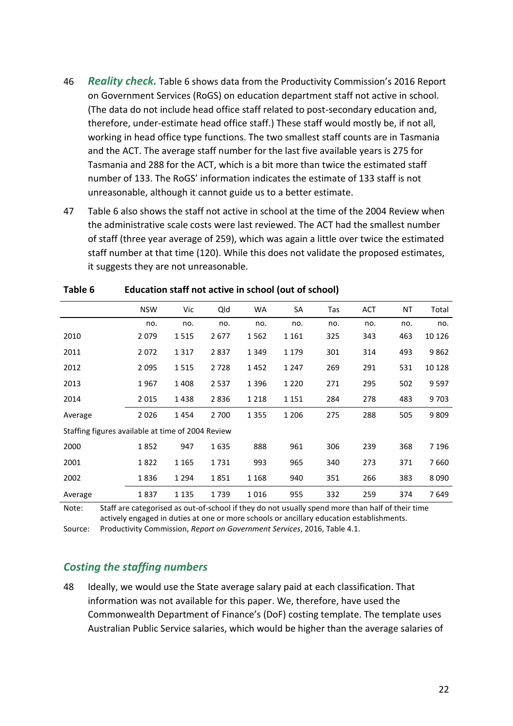- 46 *Reality check.* [Table 6](#page-23-0) shows data from the Productivity Commission's 2016 Report on Government Services (RoGS) on education department staff not active in school. (The data do not include head office staff related to post-secondary education and, therefore, under-estimate head office staff.) These staff would mostly be, if not all, working in head office type functions. The two smallest staff counts are in Tasmania and the ACT. The average staff number for the last five available years is 275 for Tasmania and 288 for the ACT, which is a bit more than twice the estimated staff number of 133. The RoGS' information indicates the estimate of 133 staff is not unreasonable, although it cannot guide us to a better estimate.
- 47 [Table 6](#page-23-0) also shows the staff not active in school at the time of the 2004 Review when the administrative scale costs were last reviewed. The ACT had the smallest number of staff (three year average of 259), which was again a little over twice the estimated staff number at that time (120). While this does not validate the proposed estimates, it suggests they are not unreasonable.

|                                                   | <b>NSW</b> | Vic     | Qld   | <b>WA</b> | SA      | Tas | <b>ACT</b> | ΝT  | Total   |
|---------------------------------------------------|------------|---------|-------|-----------|---------|-----|------------|-----|---------|
|                                                   | no.        | no.     | no.   | no.       | no.     | no. | no.        | no. | no.     |
| 2010                                              | 2079       | 1515    | 2677  | 1562      | 1 1 6 1 | 325 | 343        | 463 | 10 1 26 |
| 2011                                              | 2072       | 1317    | 2837  | 1 3 4 9   | 1 1 7 9 | 301 | 314        | 493 | 9862    |
| 2012                                              | 2095       | 1515    | 2728  | 1452      | 1 2 4 7 | 269 | 291        | 531 | 10 1 28 |
| 2013                                              | 1967       | 1408    | 2537  | 1 3 9 6   | 1 2 2 0 | 271 | 295        | 502 | 9597    |
| 2014                                              | 2015       | 1438    | 2836  | 1 2 1 8   | 1 1 5 1 | 284 | 278        | 483 | 9 7 0 3 |
| Average                                           | 2026       | 1454    | 2 700 | 1 3 5 5   | 1 2 0 6 | 275 | 288        | 505 | 9809    |
| Staffing figures available at time of 2004 Review |            |         |       |           |         |     |            |     |         |
| 2000                                              | 1852       | 947     | 1635  | 888       | 961     | 306 | 239        | 368 | 7 1 9 6 |
| 2001                                              | 1822       | 1 1 6 5 | 1731  | 993       | 965     | 340 | 273        | 371 | 7660    |
| 2002                                              | 1836       | 1 2 9 4 | 1851  | 1 1 6 8   | 940     | 351 | 266        | 383 | 8090    |
| Average                                           | 1837       | 1 1 3 5 | 1739  | 1016      | 955     | 332 | 259        | 374 | 7649    |

#### <span id="page-23-0"></span>**Table 6 Education staff not active in school (out of school)**

Note: Staff are categorised as out-of-school if they do not usually spend more than half of their time actively engaged in duties at one or more schools or ancillary education establishments.

Source: Productivity Commission, *Report on Government Services*, 2016, Table 4.1.

### *Costing the staffing numbers*

48 Ideally, we would use the State average salary paid at each classification. That information was not available for this paper. We, therefore, have used the Commonwealth Department of Finance's (DoF) costing template. The template uses Australian Public Service salaries, which would be higher than the average salaries of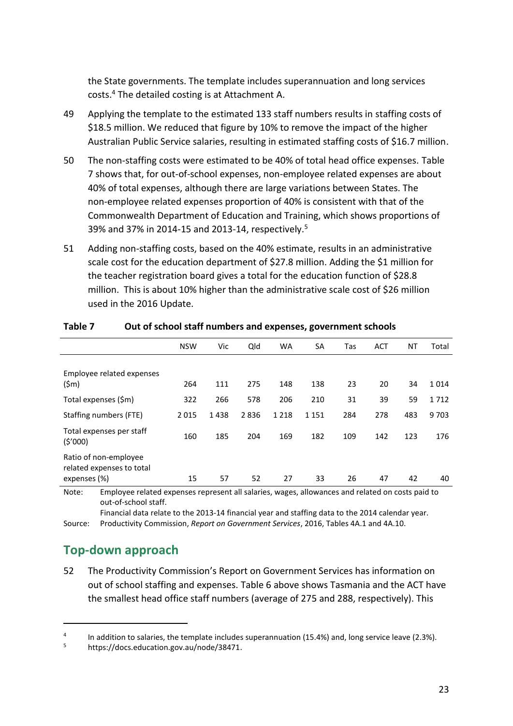the State governments. The template includes superannuation and long services costs. <sup>4</sup> The detailed costing is at Attachment A.

- 49 Applying the template to the estimated 133 staff numbers results in staffing costs of \$18.5 million. We reduced that figure by 10% to remove the impact of the higher Australian Public Service salaries, resulting in estimated staffing costs of \$16.7 million.
- 50 The non-staffing costs were estimated to be 40% of total head office expenses. [Table](#page-24-1)  [7](#page-24-1) shows that, for out-of-school expenses, non-employee related expenses are about 40% of total expenses, although there are large variations between States. The non-employee related expenses proportion of 40% is consistent with that of the Commonwealth Department of Education and Training, which shows proportions of 39% and 37% in 2014-15 and 2013-14, respectively.<sup>5</sup>
- 51 Adding non-staffing costs, based on the 40% estimate, results in an administrative scale cost for the education department of \$27.8 million. Adding the \$1 million for the teacher registration board gives a total for the education function of \$28.8 million. This is about 10% higher than the administrative scale cost of \$26 million used in the 2016 Update.

|                                                                    | <b>NSW</b> | Vic  | Qld  | <b>WA</b> | SA      | Tas | <b>ACT</b> | ΝT  | Total   |
|--------------------------------------------------------------------|------------|------|------|-----------|---------|-----|------------|-----|---------|
| Employee related expenses<br>(\$m)                                 | 264        | 111  | 275  | 148       | 138     | 23  | 20         | 34  | 1014    |
| Total expenses (\$m)                                               | 322        | 266  | 578  | 206       | 210     | 31  | 39         | 59  | 1712    |
| Staffing numbers (FTE)                                             | 2015       | 1438 | 2836 | 1 2 1 8   | 1 1 5 1 | 284 | 278        | 483 | 9 7 0 3 |
| Total expenses per staff<br>(5'000)                                | 160        | 185  | 204  | 169       | 182     | 109 | 142        | 123 | 176     |
| Ratio of non-employee<br>related expenses to total<br>expenses (%) | 15         | 57   | 52   | 27        | 33      | 26  | 47         | 42  | 40      |

#### <span id="page-24-1"></span>**Table 7 Out of school staff numbers and expenses, government schools**

Note: Employee related expenses represent all salaries, wages, allowances and related on costs paid to out-of-school staff.

Financial data relate to the 2013-14 financial year and staffing data to the 2014 calendar year. Source: Productivity Commission, *Report on Government Services*, 2016, Tables 4A.1 and 4A.10.

## <span id="page-24-0"></span>**Top-down approach**

 $\overline{a}$ 

52 The Productivity Commission's Report on Government Services has information on out of school staffing and expenses. [Table 6](#page-23-0) above shows Tasmania and the ACT have the smallest head office staff numbers (average of 275 and 288, respectively). This

<sup>4</sup> In addition to salaries, the template includes superannuation (15.4%) and, long service leave (2.3%).

<sup>5</sup> https://docs.education.gov.au/node/38471.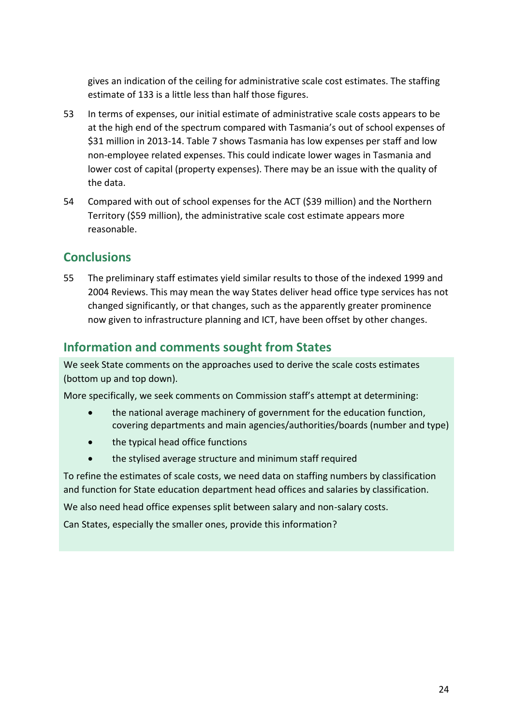gives an indication of the ceiling for administrative scale cost estimates. The staffing estimate of 133 is a little less than half those figures.

- 53 In terms of expenses, our initial estimate of administrative scale costs appears to be at the high end of the spectrum compared with Tasmania's out of school expenses of \$31 million in 2013-14[. Table 7](#page-24-1) shows Tasmania has low expenses per staff and low non-employee related expenses. This could indicate lower wages in Tasmania and lower cost of capital (property expenses). There may be an issue with the quality of the data.
- 54 Compared with out of school expenses for the ACT (\$39 million) and the Northern Territory (\$59 million), the administrative scale cost estimate appears more reasonable.

# <span id="page-25-0"></span>**Conclusions**

55 The preliminary staff estimates yield similar results to those of the indexed 1999 and 2004 Reviews. This may mean the way States deliver head office type services has not changed significantly, or that changes, such as the apparently greater prominence now given to infrastructure planning and ICT, have been offset by other changes.

# <span id="page-25-1"></span>**Information and comments sought from States**

We seek State comments on the approaches used to derive the scale costs estimates (bottom up and top down).

More specifically, we seek comments on Commission staff's attempt at determining:

- the national average machinery of government for the education function, covering departments and main agencies/authorities/boards (number and type)
- the typical head office functions
- the stylised average structure and minimum staff required

To refine the estimates of scale costs, we need data on staffing numbers by classification and function for State education department head offices and salaries by classification.

We also need head office expenses split between salary and non-salary costs.

Can States, especially the smaller ones, provide this information?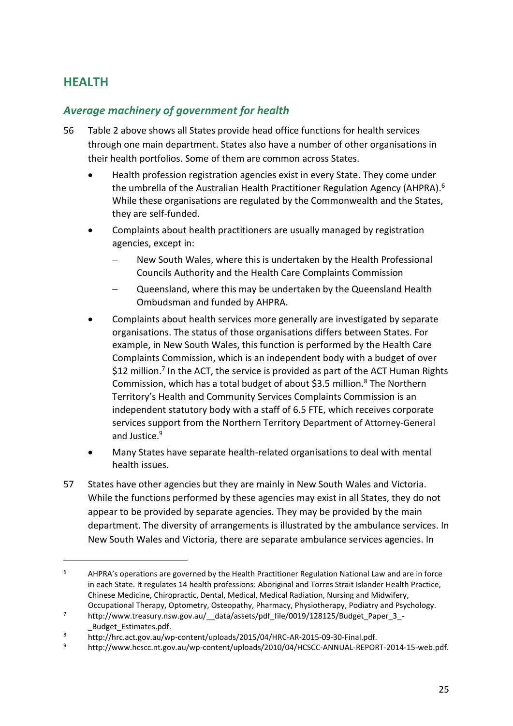# <span id="page-26-0"></span>**HEALTH**

 $\overline{a}$ 

### *Average machinery of government for health*

- 56 [Table 2](#page-8-0) above shows all States provide head office functions for health services through one main department. States also have a number of other organisations in their health portfolios. Some of them are common across States.
	- Health profession registration agencies exist in every State. They come under the umbrella of the Australian Health Practitioner Regulation Agency (AHPRA). 6 While these organisations are regulated by the Commonwealth and the States, they are self-funded.
	- Complaints about health practitioners are usually managed by registration agencies, except in:
		- New South Wales, where this is undertaken by the Health Professional Councils Authority and the Health Care Complaints Commission
		- Queensland, where this may be undertaken by the Queensland Health Ombudsman and funded by AHPRA.
	- Complaints about health services more generally are investigated by separate organisations. The status of those organisations differs between States. For example, in New South Wales, this function is performed by the Health Care Complaints Commission, which is an independent body with a budget of over \$12 million.<sup>7</sup> In the ACT, the service is provided as part of the ACT Human Rights Commission, which has a total budget of about \$3.5 million.<sup>8</sup> The Northern Territory's Health and Community Services Complaints Commission is an independent statutory body with a staff of 6.5 FTE, which receives corporate services support from the Northern Territory Department of Attorney-General and Justice.<sup>9</sup>
	- Many States have separate health-related organisations to deal with mental health issues.
- 57 States have other agencies but they are mainly in New South Wales and Victoria. While the functions performed by these agencies may exist in all States, they do not appear to be provided by separate agencies. They may be provided by the main department. The diversity of arrangements is illustrated by the ambulance services. In New South Wales and Victoria, there are separate ambulance services agencies. In

 $6$  AHPRA's operations are governed by the Health Practitioner Regulation National Law and are in force in each State. It regulates 14 health professions: Aboriginal and Torres Strait Islander Health Practice, Chinese Medicine, Chiropractic, Dental, Medical, Medical Radiation, Nursing and Midwifery, Occupational Therapy, Optometry, Osteopathy, Pharmacy, Physiotherapy, Podiatry and Psychology.

<sup>&</sup>lt;sup>7</sup> http://www.treasury.nsw.gov.au/ data/assets/pdf file/0019/128125/Budget Paper 3 -\_Budget\_Estimates.pdf.

<sup>8</sup> <sup>8</sup> http://hrc.act.gov.au/wp-content/uploads/2015/04/HRC-AR-2015-09-30-Final.pdf.<br><sup>9</sup> http://www.bcscc.nt.gov.au/wn-content/uploads/2010/04/HCSCC-ANNUAL-REPOR

<sup>9</sup> http://www.hcscc.nt.gov.au/wp-content/uploads/2010/04/HCSCC-ANNUAL-REPORT-2014-15-web.pdf.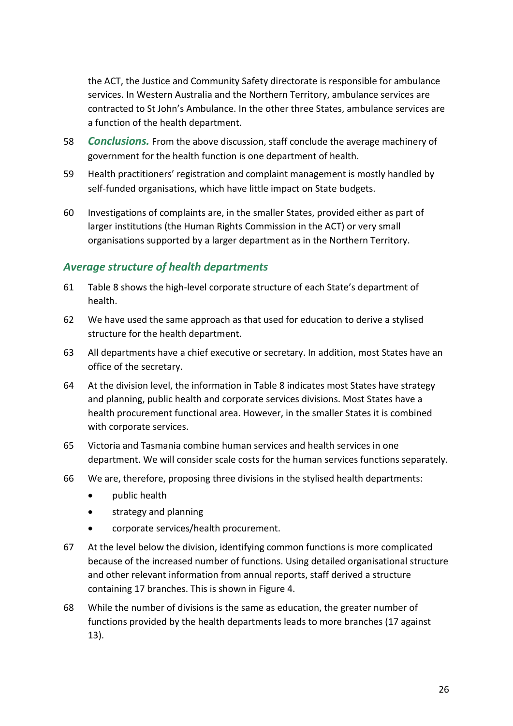the ACT, the Justice and Community Safety directorate is responsible for ambulance services. In Western Australia and the Northern Territory, ambulance services are contracted to St John's Ambulance. In the other three States, ambulance services are a function of the health department.

- 58 *Conclusions.* From the above discussion, staff conclude the average machinery of government for the health function is one department of health.
- 59 Health practitioners' registration and complaint management is mostly handled by self-funded organisations, which have little impact on State budgets.
- 60 Investigations of complaints are, in the smaller States, provided either as part of larger institutions (the Human Rights Commission in the ACT) or very small organisations supported by a larger department as in the Northern Territory.

### *Average structure of health departments*

- 61 [Table 8](#page-28-0) shows the high-level corporate structure of each State's department of health.
- 62 We have used the same approach as that used for education to derive a stylised structure for the health department.
- 63 All departments have a chief executive or secretary. In addition, most States have an office of the secretary.
- 64 At the division level, the information in [Table 8](#page-28-0) indicates most States have strategy and planning, public health and corporate services divisions. Most States have a health procurement functional area. However, in the smaller States it is combined with corporate services.
- 65 Victoria and Tasmania combine human services and health services in one department. We will consider scale costs for the human services functions separately.
- 66 We are, therefore, proposing three divisions in the stylised health departments:
	- public health
	- **•** strategy and planning
	- corporate services/health procurement.
- 67 At the level below the division, identifying common functions is more complicated because of the increased number of functions. Using detailed organisational structure and other relevant information from annual reports, staff derived a structure containing 17 branches. This is shown in [Figure 4.](#page-29-0)
- 68 While the number of divisions is the same as education, the greater number of functions provided by the health departments leads to more branches (17 against 13).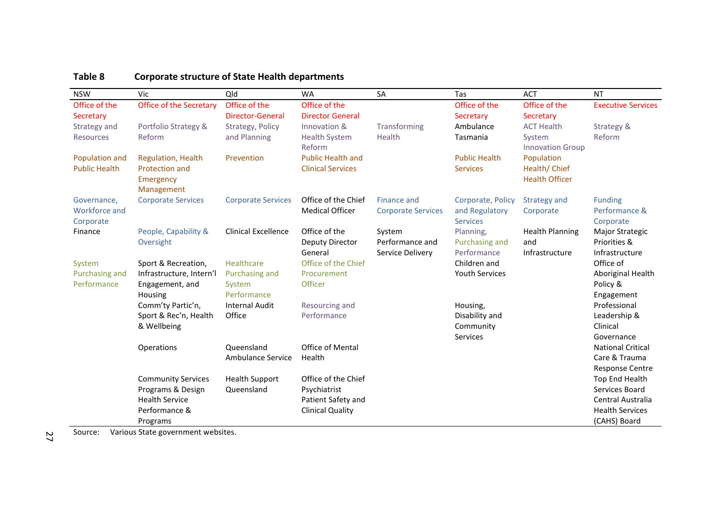| <b>NSW</b>           | Vic                       | Qld                        | <b>WA</b>                         | SA                        | Tas                           | <b>ACT</b>              | <b>NT</b>                       |
|----------------------|---------------------------|----------------------------|-----------------------------------|---------------------------|-------------------------------|-------------------------|---------------------------------|
| Office of the        | Office of the Secretary   | Office of the              | Office of the                     |                           | Office of the                 | Office of the           | <b>Executive Services</b>       |
| Secretary            |                           | <b>Director-General</b>    | <b>Director General</b>           |                           | Secretary                     | Secretary               |                                 |
| Strategy and         | Portfolio Strategy &      | Strategy, Policy           | Innovation &                      | Transforming              | Ambulance                     | <b>ACT Health</b>       | Strategy &                      |
| <b>Resources</b>     | Reform                    | and Planning               | <b>Health System</b>              | Health                    | Tasmania                      | System                  | Reform                          |
|                      |                           |                            | Reform                            |                           |                               | <b>Innovation Group</b> |                                 |
| Population and       | <b>Regulation, Health</b> | Prevention                 | <b>Public Health and</b>          |                           | <b>Public Health</b>          | Population              |                                 |
| <b>Public Health</b> | Protection and            |                            | <b>Clinical Services</b>          |                           | <b>Services</b>               | Health/Chief            |                                 |
|                      | Emergency                 |                            |                                   |                           |                               | <b>Health Officer</b>   |                                 |
|                      | Management                |                            |                                   |                           |                               |                         |                                 |
| Governance,          | <b>Corporate Services</b> | <b>Corporate Services</b>  | Office of the Chief               | Finance and               | Corporate, Policy             | Strategy and            | <b>Funding</b>                  |
| Workforce and        |                           |                            | <b>Medical Officer</b>            | <b>Corporate Services</b> | and Regulatory                | Corporate               | Performance &                   |
| Corporate            |                           |                            |                                   |                           | <b>Services</b>               |                         | Corporate                       |
| Finance              | People, Capability &      | <b>Clinical Excellence</b> | Office of the                     | System<br>Performance and | Planning,                     | <b>Health Planning</b>  | Major Strategic<br>Priorities & |
|                      | Oversight                 |                            | <b>Deputy Director</b><br>General | Service Delivery          | Purchasing and<br>Performance | and<br>Infrastructure   | Infrastructure                  |
| System               | Sport & Recreation,       | Healthcare                 | Office of the Chief               |                           | Children and                  |                         | Office of                       |
| Purchasing and       | Infrastructure, Intern'l  | Purchasing and             | Procurement                       |                           | Youth Services                |                         | Aboriginal Health               |
| Performance          | Engagement, and           | System                     | <b>Officer</b>                    |                           |                               |                         | Policy &                        |
|                      | Housing                   | Performance                |                                   |                           |                               |                         | Engagement                      |
|                      | Comm'ty Partic'n,         | <b>Internal Audit</b>      | Resourcing and                    |                           | Housing,                      |                         | Professional                    |
|                      | Sport & Rec'n, Health     | Office                     | Performance                       |                           | Disability and                |                         | Leadership &                    |
|                      | & Wellbeing               |                            |                                   |                           | Community                     |                         | Clinical                        |
|                      |                           |                            |                                   |                           | Services                      |                         | Governance                      |
|                      | Operations                | Queensland                 | <b>Office of Mental</b>           |                           |                               |                         | <b>National Critical</b>        |
|                      |                           | Ambulance Service          | Health                            |                           |                               |                         | Care & Trauma                   |
|                      |                           |                            |                                   |                           |                               |                         | <b>Response Centre</b>          |
|                      | <b>Community Services</b> | <b>Health Support</b>      | Office of the Chief               |                           |                               |                         | Top End Health                  |
|                      | Programs & Design         | Queensland                 | Psychiatrist                      |                           |                               |                         | Services Board                  |
|                      | <b>Health Service</b>     |                            | Patient Safety and                |                           |                               |                         | Central Australia               |
|                      | Performance &             |                            | <b>Clinical Quality</b>           |                           |                               |                         | <b>Health Services</b>          |
|                      | Programs                  |                            |                                   |                           |                               |                         | (CAHS) Board                    |

#### **Table 8 Corporate structure of State Health departments**

<span id="page-28-0"></span>Source: Various State government websites.

27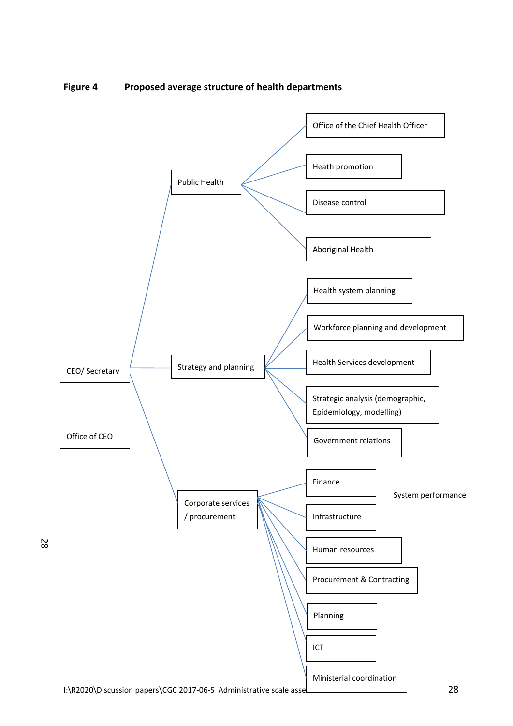<span id="page-29-0"></span>

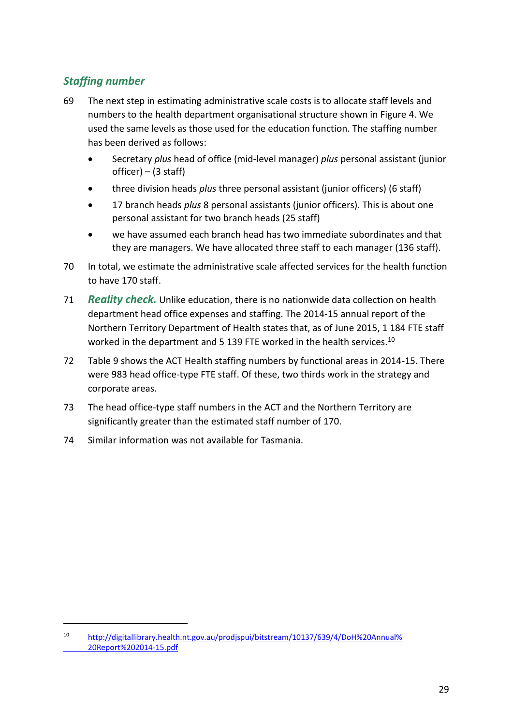## *Staffing number*

 $\overline{a}$ 

- 69 The next step in estimating administrative scale costs is to allocate staff levels and numbers to the health department organisational structure shown in [Figure 4.](#page-29-0) We used the same levels as those used for the education function. The staffing number has been derived as follows:
	- Secretary *plus* head of office (mid-level manager) *plus* personal assistant (junior  $officer) - (3 staff)$
	- three division heads *plus* three personal assistant (junior officers) (6 staff)
	- 17 branch heads *plus* 8 personal assistants (junior officers). This is about one personal assistant for two branch heads (25 staff)
	- we have assumed each branch head has two immediate subordinates and that they are managers. We have allocated three staff to each manager (136 staff).
- 70 In total, we estimate the administrative scale affected services for the health function to have 170 staff.
- 71 *Reality check.* Unlike education, there is no nationwide data collection on health department head office expenses and staffing. The 2014-15 annual report of the Northern Territory Department of Health states that, as of June 2015, 1 184 FTE staff worked in the department and 5 139 FTE worked in the health services.<sup>10</sup>
- 72 [Table 9](#page-31-0) shows the ACT Health staffing numbers by functional areas in 2014-15. There were 983 head office-type FTE staff. Of these, two thirds work in the strategy and corporate areas.
- 73 The head office-type staff numbers in the ACT and the Northern Territory are significantly greater than the estimated staff number of 170.
- 74 Similar information was not available for Tasmania.

<sup>10</sup> [http://digitallibrary.health.nt.gov.au/prodjspui/bitstream/10137/639/4/DoH%20Annual%](http://digitallibrary.health.nt.gov.au/prodjspui/bitstream/10137/639/4/DoH%20Annual%25) 20Report%202014-15.pdf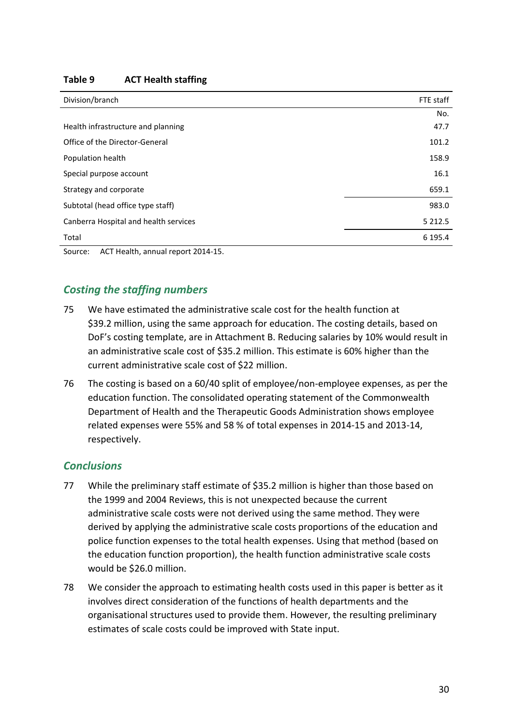#### <span id="page-31-0"></span>**Table 9 ACT Health staffing**

| Division/branch                                      | FTE staff   |
|------------------------------------------------------|-------------|
|                                                      | No.         |
| Health infrastructure and planning                   | 47.7        |
| Office of the Director-General                       | 101.2       |
| Population health                                    | 158.9       |
| Special purpose account                              | 16.1        |
| Strategy and corporate                               | 659.1       |
| Subtotal (head office type staff)                    | 983.0       |
| Canberra Hospital and health services                | 5 2 1 2 . 5 |
| Total                                                | 6 195.4     |
| the contract of the contract of the contract of<br>. |             |

Source: ACT Health, annual report 2014-15.

## *Costing the staffing numbers*

- 75 We have estimated the administrative scale cost for the health function at \$39.2 million, using the same approach for education. The costing details, based on DoF's costing template, are in Attachment B. Reducing salaries by 10% would result in an administrative scale cost of \$35.2 million. This estimate is 60% higher than the current administrative scale cost of \$22 million.
- 76 The costing is based on a 60/40 split of employee/non-employee expenses, as per the education function. The consolidated operating statement of the Commonwealth Department of Health and the Therapeutic Goods Administration shows employee related expenses were 55% and 58 % of total expenses in 2014-15 and 2013-14, respectively.

### *Conclusions*

- 77 While the preliminary staff estimate of \$35.2 million is higher than those based on the 1999 and 2004 Reviews, this is not unexpected because the current administrative scale costs were not derived using the same method. They were derived by applying the administrative scale costs proportions of the education and police function expenses to the total health expenses. Using that method (based on the education function proportion), the health function administrative scale costs would be \$26.0 million.
- 78 We consider the approach to estimating health costs used in this paper is better as it involves direct consideration of the functions of health departments and the organisational structures used to provide them. However, the resulting preliminary estimates of scale costs could be improved with State input.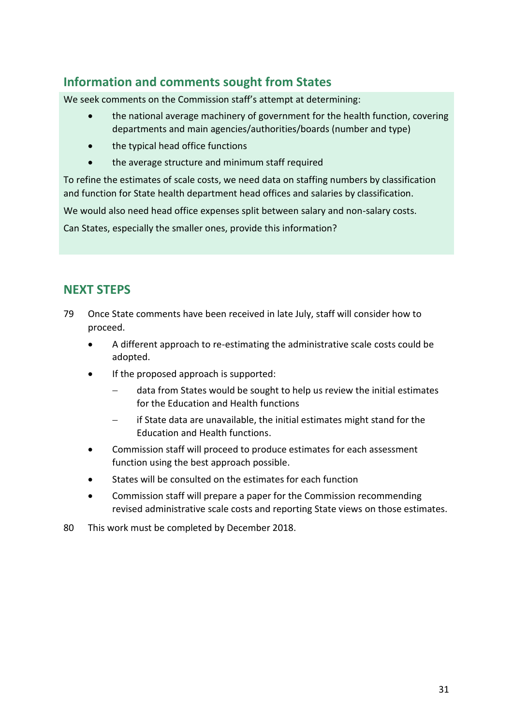# <span id="page-32-0"></span>**Information and comments sought from States**

We seek comments on the Commission staff's attempt at determining:

- the national average machinery of government for the health function, covering departments and main agencies/authorities/boards (number and type)
- the typical head office functions
- the average structure and minimum staff required

To refine the estimates of scale costs, we need data on staffing numbers by classification and function for State health department head offices and salaries by classification.

We would also need head office expenses split between salary and non-salary costs.

Can States, especially the smaller ones, provide this information?

## <span id="page-32-1"></span>**NEXT STEPS**

- 79 Once State comments have been received in late July, staff will consider how to proceed.
	- A different approach to re-estimating the administrative scale costs could be adopted.
	- If the proposed approach is supported:
		- data from States would be sought to help us review the initial estimates for the Education and Health functions
		- if State data are unavailable, the initial estimates might stand for the Education and Health functions.
	- Commission staff will proceed to produce estimates for each assessment function using the best approach possible.
	- States will be consulted on the estimates for each function
	- Commission staff will prepare a paper for the Commission recommending revised administrative scale costs and reporting State views on those estimates.
- 80 This work must be completed by December 2018.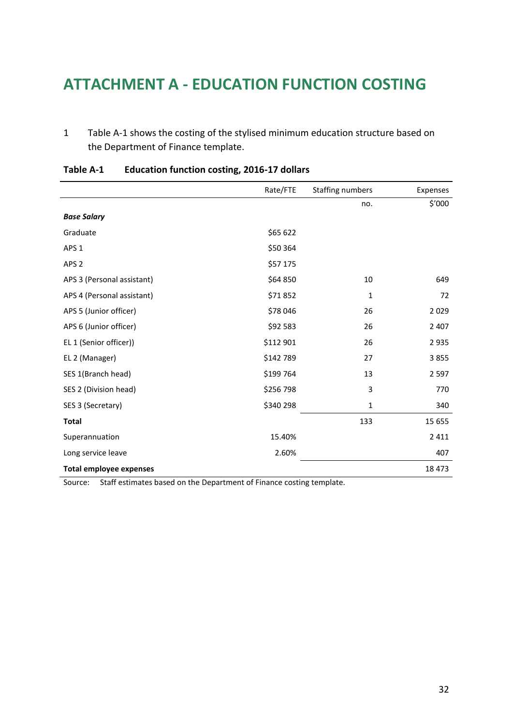# **ATTACHMENT A - EDUCATION FUNCTION COSTING**

1 [Table A-1](#page-33-0) shows the costing of the stylised minimum education structure based on the Department of Finance template.

|                                | Rate/FTE  | <b>Staffing numbers</b> | Expenses |
|--------------------------------|-----------|-------------------------|----------|
|                                |           | no.                     | \$′000   |
| <b>Base Salary</b>             |           |                         |          |
| Graduate                       | \$65 622  |                         |          |
| APS <sub>1</sub>               | \$50 364  |                         |          |
| APS <sub>2</sub>               | \$57 175  |                         |          |
| APS 3 (Personal assistant)     | \$64 850  | 10                      | 649      |
| APS 4 (Personal assistant)     | \$71852   | 1                       | 72       |
| APS 5 (Junior officer)         | \$78 046  | 26                      | 2 0 2 9  |
| APS 6 (Junior officer)         | \$92 583  | 26                      | 2 4 0 7  |
| EL 1 (Senior officer))         | \$112 901 | 26                      | 2 9 3 5  |
| EL 2 (Manager)                 | \$142 789 | 27                      | 3855     |
| SES 1(Branch head)             | \$199 764 | 13                      | 2 5 9 7  |
| SES 2 (Division head)          | \$256 798 | 3                       | 770      |
| SES 3 (Secretary)              | \$340 298 | 1                       | 340      |
| <b>Total</b>                   |           | 133                     | 15 655   |
| Superannuation                 | 15.40%    |                         | 2 4 1 1  |
| Long service leave             | 2.60%     |                         | 407      |
| <b>Total employee expenses</b> |           |                         | 18 473   |

### <span id="page-33-0"></span>**Table A-1 Education function costing, 2016-17 dollars**

Source: Staff estimates based on the Department of Finance costing template.